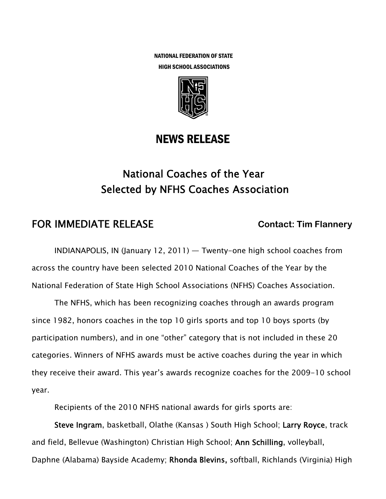NATIONAL FEDERATION OF STATE HIGH SCHOOL ASSOCIATIONS



## NEWS RELEASE

# National Coaches of the Year Selected by NFHS Coaches Association

## **FOR IMMEDIATE RELEASE Contact: Tim Flannery**

INDIANAPOLIS, IN (January 12, 2011) — Twenty-one high school coaches from across the country have been selected 2010 National Coaches of the Year by the National Federation of State High School Associations (NFHS) Coaches Association.

The NFHS, which has been recognizing coaches through an awards program since 1982, honors coaches in the top 10 girls sports and top 10 boys sports (by participation numbers), and in one "other" category that is not included in these 20 categories. Winners of NFHS awards must be active coaches during the year in which they receive their award. This year's awards recognize coaches for the 2009-10 school year.

Recipients of the 2010 NFHS national awards for girls sports are:

Steve Ingram, basketball, Olathe (Kansas ) South High School; Larry Royce, track and field, Bellevue (Washington) Christian High School; Ann Schilling, volleyball, Daphne (Alabama) Bayside Academy; Rhonda Blevins, softball, Richlands (Virginia) High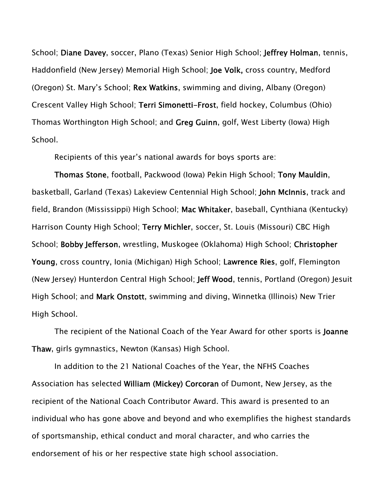School; Diane Davey, soccer, Plano (Texas) Senior High School; Jeffrey Holman, tennis, Haddonfield (New Jersey) Memorial High School; Joe Volk, cross country, Medford (Oregon) St. Mary's School; Rex Watkins, swimming and diving, Albany (Oregon) Crescent Valley High School; Terri Simonetti-Frost, field hockey, Columbus (Ohio) Thomas Worthington High School; and Greg Guinn, golf, West Liberty (Iowa) High School.

Recipients of this year's national awards for boys sports are:

Thomas Stone, football, Packwood (Iowa) Pekin High School; Tony Mauldin, basketball, Garland (Texas) Lakeview Centennial High School; John McInnis, track and field, Brandon (Mississippi) High School; Mac Whitaker, baseball, Cynthiana (Kentucky) Harrison County High School; Terry Michler, soccer, St. Louis (Missouri) CBC High School; Bobby Jefferson, wrestling, Muskogee (Oklahoma) High School; Christopher Young, cross country, Ionia (Michigan) High School; Lawrence Ries, golf, Flemington (New Jersey) Hunterdon Central High School; Jeff Wood, tennis, Portland (Oregon) Jesuit High School; and Mark Onstott, swimming and diving, Winnetka (Illinois) New Trier High School.

The recipient of the National Coach of the Year Award for other sports is Joanne Thaw, girls gymnastics, Newton (Kansas) High School.

In addition to the 21 National Coaches of the Year, the NFHS Coaches Association has selected William (Mickey) Corcoran of Dumont, New Jersey, as the recipient of the National Coach Contributor Award. This award is presented to an individual who has gone above and beyond and who exemplifies the highest standards of sportsmanship, ethical conduct and moral character, and who carries the endorsement of his or her respective state high school association.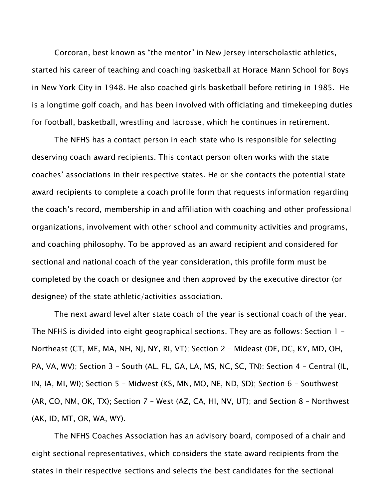Corcoran, best known as "the mentor" in New Jersey interscholastic athletics, started his career of teaching and coaching basketball at Horace Mann School for Boys in New York City in 1948. He also coached girls basketball before retiring in 1985. He is a longtime golf coach, and has been involved with officiating and timekeeping duties for football, basketball, wrestling and lacrosse, which he continues in retirement.

The NFHS has a contact person in each state who is responsible for selecting deserving coach award recipients. This contact person often works with the state coaches' associations in their respective states. He or she contacts the potential state award recipients to complete a coach profile form that requests information regarding the coach's record, membership in and affiliation with coaching and other professional organizations, involvement with other school and community activities and programs, and coaching philosophy. To be approved as an award recipient and considered for sectional and national coach of the year consideration, this profile form must be completed by the coach or designee and then approved by the executive director (or designee) of the state athletic/activities association.

The next award level after state coach of the year is sectional coach of the year. The NFHS is divided into eight geographical sections. They are as follows: Section 1 – Northeast (CT, ME, MA, NH, NJ, NY, RI, VT); Section 2 – Mideast (DE, DC, KY, MD, OH, PA, VA, WV); Section 3 – South (AL, FL, GA, LA, MS, NC, SC, TN); Section 4 – Central (IL, IN, IA, MI, WI); Section 5 – Midwest (KS, MN, MO, NE, ND, SD); Section 6 – Southwest (AR, CO, NM, OK, TX); Section 7 – West (AZ, CA, HI, NV, UT); and Section 8 – Northwest (AK, ID, MT, OR, WA, WY).

The NFHS Coaches Association has an advisory board, composed of a chair and eight sectional representatives, which considers the state award recipients from the states in their respective sections and selects the best candidates for the sectional